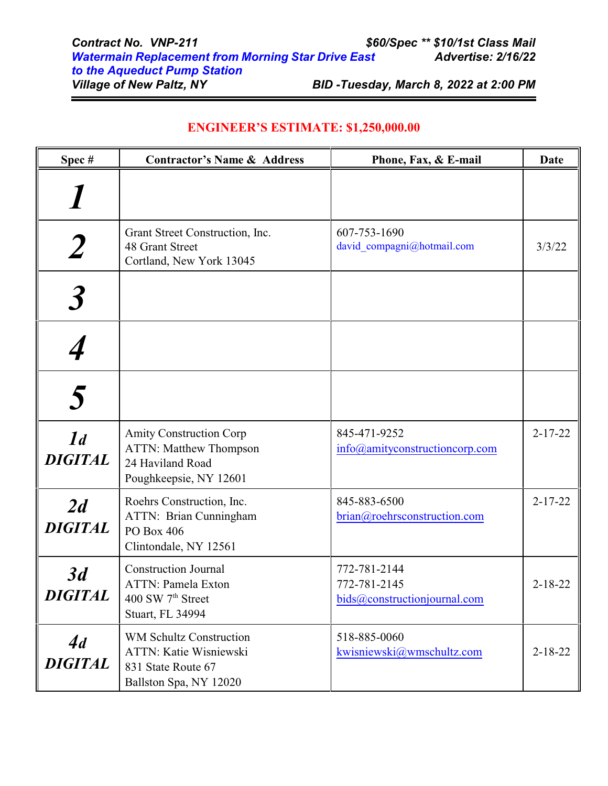| Spec#                            | <b>Contractor's Name &amp; Address</b>                                                                               | Phone, Fax, & E-mail                                         | Date          |
|----------------------------------|----------------------------------------------------------------------------------------------------------------------|--------------------------------------------------------------|---------------|
|                                  |                                                                                                                      |                                                              |               |
|                                  | Grant Street Construction, Inc.<br><b>48 Grant Street</b><br>Cortland, New York 13045                                | 607-753-1690<br>david compagni@hotmail.com                   | 3/3/22        |
|                                  |                                                                                                                      |                                                              |               |
|                                  |                                                                                                                      |                                                              |               |
|                                  |                                                                                                                      |                                                              |               |
| 1 <sub>d</sub><br><b>DIGITAL</b> | <b>Amity Construction Corp</b><br><b>ATTN: Matthew Thompson</b><br>24 Haviland Road<br>Poughkeepsie, NY 12601        | 845-471-9252<br>info@amityconstructioncorp.com               | $2 - 17 - 22$ |
| 2d<br><b>DIGITAL</b>             | Roehrs Construction, Inc.<br>ATTN: Brian Cunningham<br>PO Box 406<br>Clintondale, NY 12561                           | 845-883-6500<br>brian@roehrsconstruction.com                 | $2 - 17 - 22$ |
| 3d<br><b>DIGITAL</b>             | <b>Construction Journal</b><br><b>ATTN: Pamela Exton</b><br>400 SW 7 <sup>th</sup> Street<br><b>Stuart, FL 34994</b> | 772-781-2144<br>772-781-2145<br>bids@constructionjournal.com | $2 - 18 - 22$ |
| 4d<br>DIGITAL                    | <b>WM Schultz Construction</b><br>ATTN: Katie Wisniewski<br>831 State Route 67<br>Ballston Spa, NY 12020             | 518-885-0060<br>kwisniewski@wmschultz.com                    | $2 - 18 - 22$ |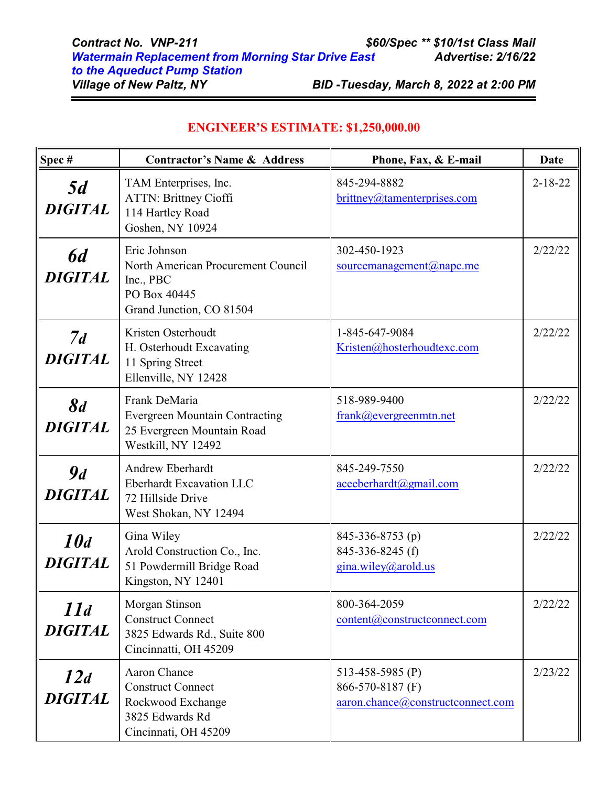| $\sqrt{\text{Spec } H}$     | <b>Contractor's Name &amp; Address</b>                                                                          | Phone, Fax, & E-mail                                                      | Date          |
|-----------------------------|-----------------------------------------------------------------------------------------------------------------|---------------------------------------------------------------------------|---------------|
| 5d<br><b>DIGITAL</b>        | TAM Enterprises, Inc.<br><b>ATTN: Brittney Cioffi</b><br>114 Hartley Road<br>Goshen, NY 10924                   | 845-294-8882<br>brittney@tamenterprises.com                               | $2 - 18 - 22$ |
| <b>6d</b><br><b>DIGITAL</b> | Eric Johnson<br>North American Procurement Council<br>Inc., PBC<br>PO Box 40445<br>Grand Junction, CO 81504     | 302-450-1923<br>sourcemanagement@napc.me                                  | 2/22/22       |
| 7d<br><b>DIGITAL</b>        | Kristen Osterhoudt<br>H. Osterhoudt Excavating<br>11 Spring Street<br>Ellenville, NY 12428                      | 1-845-647-9084<br>Kristen@hosterhoudtexc.com                              | 2/22/22       |
| 8d<br><b>DIGITAL</b>        | Frank DeMaria<br><b>Evergreen Mountain Contracting</b><br>25 Evergreen Mountain Road<br>Westkill, NY 12492      | 518-989-9400<br>frank@evergreenmtn.net                                    | 2/22/22       |
| 9d<br><b>DIGITAL</b>        | <b>Andrew Eberhardt</b><br><b>Eberhardt Excavation LLC</b><br>72 Hillside Drive<br>West Shokan, NY 12494        | 845-249-7550<br>aceeberhardt@gmail.com                                    | 2/22/22       |
| 10d<br><b>DIGITAL</b>       | Gina Wiley<br>Arold Construction Co., Inc.<br>51 Powdermill Bridge Road<br>Kingston, NY 12401                   | 845-336-8753 (p)<br>845-336-8245 (f)<br>gina.wiley@arold.us               | 2/22/22       |
| 11d<br><b>DIGITAL</b>       | Morgan Stinson<br><b>Construct Connect</b><br>3825 Edwards Rd., Suite 800<br>Cincinnatti, OH 45209              | 800-364-2059<br>content@constructconnect.com                              | 2/22/22       |
| 12d<br><b>DIGITAL</b>       | <b>Aaron Chance</b><br><b>Construct Connect</b><br>Rockwood Exchange<br>3825 Edwards Rd<br>Cincinnati, OH 45209 | 513-458-5985 (P)<br>866-570-8187 (F)<br>aaron.chance@constructconnect.com | 2/23/22       |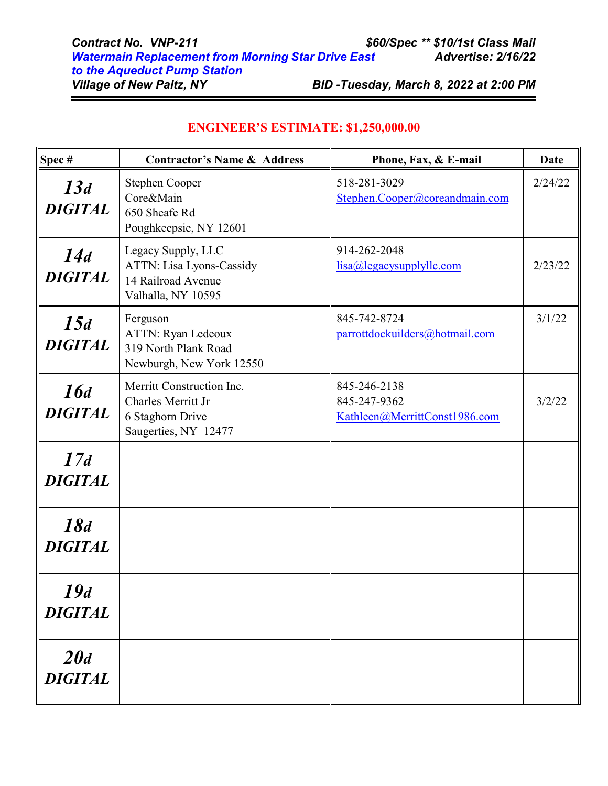| <b>Contract No. VNP-211</b>                               | \$60/Spec ** \$10/1st Class Mail      |
|-----------------------------------------------------------|---------------------------------------|
| <b>Watermain Replacement from Morning Star Drive East</b> | <b>Advertise: 2/16/22</b>             |
| to the Aqueduct Pump Station                              |                                       |
| <b>Village of New Paltz, NY</b>                           | BID-Tuesday, March 8, 2022 at 2:00 PM |

 $\equiv$ 

| Spec#                 | <b>Contractor's Name &amp; Address</b>                                                      | Phone, Fax, & E-mail                                          | Date    |
|-----------------------|---------------------------------------------------------------------------------------------|---------------------------------------------------------------|---------|
| 13d<br><b>DIGITAL</b> | Stephen Cooper<br>Core&Main<br>650 Sheafe Rd<br>Poughkeepsie, NY 12601                      | 518-281-3029<br>Stephen.Cooper@coreandmain.com                | 2/24/22 |
| 14d<br><b>DIGITAL</b> | Legacy Supply, LLC<br>ATTN: Lisa Lyons-Cassidy<br>14 Railroad Avenue<br>Valhalla, NY 10595  | 914-262-2048<br>lisa@legacysupplyllc.com                      | 2/23/22 |
| 15d<br><b>DIGITAL</b> | Ferguson<br>ATTN: Ryan Ledeoux<br>319 North Plank Road<br>Newburgh, New York 12550          | 845-742-8724<br>parrottdockuilders@hotmail.com                | 3/1/22  |
| 16d<br><b>DIGITAL</b> | Merritt Construction Inc.<br>Charles Merritt Jr<br>6 Staghorn Drive<br>Saugerties, NY 12477 | 845-246-2138<br>845-247-9362<br>Kathleen@MerrittConst1986.com | 3/2/22  |
| 17d<br><b>DIGITAL</b> |                                                                                             |                                                               |         |
| 18d<br><b>DIGITAL</b> |                                                                                             |                                                               |         |
| 19d<br><b>DIGITAL</b> |                                                                                             |                                                               |         |
| 20d<br><b>DIGITAL</b> |                                                                                             |                                                               |         |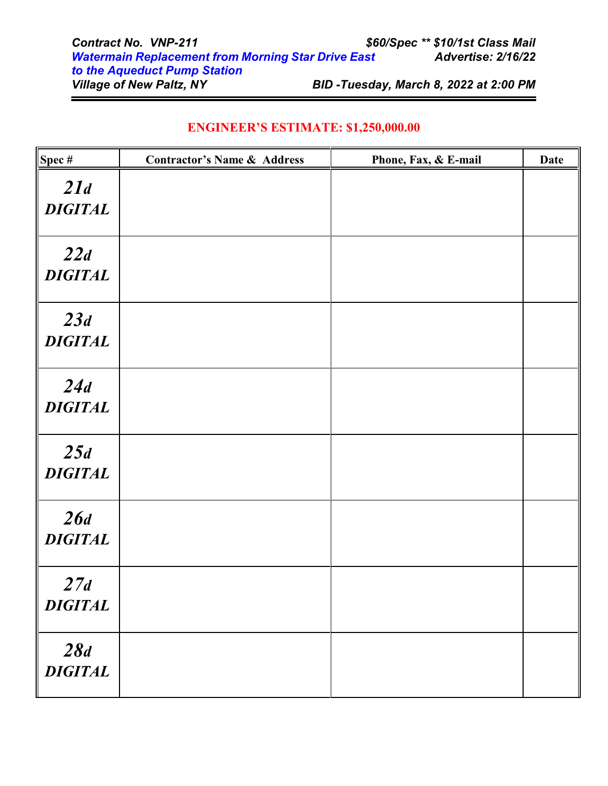| <b>ENGINEER'S ESTIMATE: \$1,250,000.00</b> |  |  |
|--------------------------------------------|--|--|
|--------------------------------------------|--|--|

| Spec#                 | <b>Contractor's Name &amp; Address</b> | Phone, Fax, & E-mail | <b>Date</b> |
|-----------------------|----------------------------------------|----------------------|-------------|
| 21d<br><b>DIGITAL</b> |                                        |                      |             |
| 22d<br><b>DIGITAL</b> |                                        |                      |             |
| 23d<br><b>DIGITAL</b> |                                        |                      |             |
| 24d<br><b>DIGITAL</b> |                                        |                      |             |
| 25d<br><b>DIGITAL</b> |                                        |                      |             |
| 26d<br><b>DIGITAL</b> |                                        |                      |             |
| 27d<br><b>DIGITAL</b> |                                        |                      |             |
| 28d<br><b>DIGITAL</b> |                                        |                      |             |